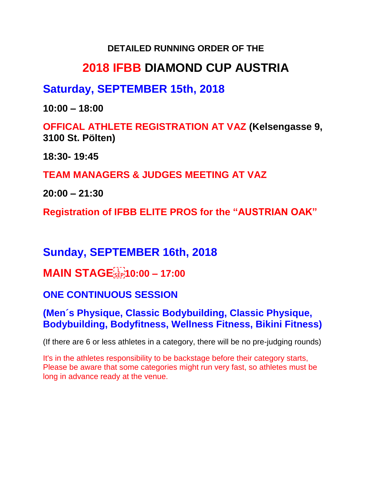#### **DETAILED RUNNING ORDER OF THE**

# **2018 IFBB DIAMOND CUP AUSTRIA**

## **Saturday, SEPTEMBER 15th, 2018**

**10:00 – 18:00** 

**OFFICAL ATHLETE REGISTRATION AT VAZ (Kelsengasse 9, 3100 St. Pölten)**

**18:30- 19:45**

**TEAM MANAGERS & JUDGES MEETING AT VAZ** 

**20:00 – 21:30**

**Registration of IFBB ELITE PROS for the "AUSTRIAN OAK"** 

# **Sunday, SEPTEMBER 16th, 2018**

**MAIN STAGE 10:00 – 17:00** 

## **ONE CONTINUOUS SESSION**

### **(Men´s Physique, Classic Bodybuilding, Classic Physique, Bodybuilding, Bodyfitness, Wellness Fitness, Bikini Fitness)**

(If there are 6 or less athletes in a category, there will be no pre-judging rounds)

It's in the athletes responsibility to be backstage before their category starts, Please be aware that some categories might run very fast, so athletes must be long in advance ready at the venue.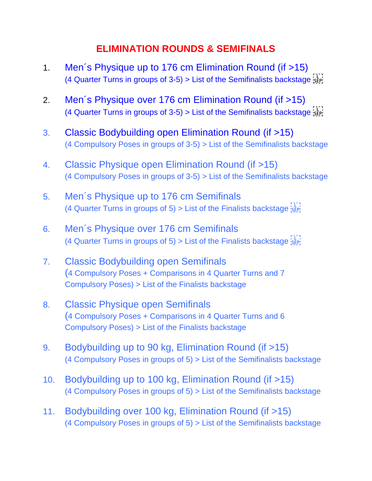### **ELIMINATION ROUNDS & SEMIFINALS**

- 1. Men´s Physique up to 176 cm Elimination Round (if >15) (4 Quarter Turns in groups of 3-5) > List of the Semifinalists backstage  $s_{\text{FP}}$
- 2. Men´s Physique over 176 cm Elimination Round (if >15) (4 Quarter Turns in groups of 3-5) > List of the Semifinalists backstage  $\frac{1}{2}$
- 3. Classic Bodybuilding open Elimination Round (if >15) (4 Compulsory Poses in groups of 3-5) > List of the Semifinalists backstage
- 4. Classic Physique open Elimination Round (if >15) (4 Compulsory Poses in groups of 3-5) > List of the Semifinalists backstage
- 5. Men´s Physique up to 176 cm Semifinals (4 Quarter Turns in groups of 5) > List of the Finalists backstage  ${}_{5}^{1}E_{p}^{1}$
- 6. Men´s Physique over 176 cm Semifinals (4 Quarter Turns in groups of 5)  $>$  List of the Finalists backstage  ${}_{SEP}^{1}$
- 7. Classic Bodybuilding open Semifinals (4 Compulsory Poses + Comparisons in 4 Quarter Turns and 7 Compulsory Poses) > List of the Finalists backstage
- 8. Classic Physique open Semifinals (4 Compulsory Poses + Comparisons in 4 Quarter Turns and 6 Compulsory Poses) > List of the Finalists backstage
- 9. Bodybuilding up to 90 kg, Elimination Round (if >15) (4 Compulsory Poses in groups of 5) > List of the Semifinalists backstage
- 10. Bodybuilding up to 100 kg, Elimination Round (if >15) (4 Compulsory Poses in groups of 5) > List of the Semifinalists backstage
- 11. Bodybuilding over 100 kg, Elimination Round (if >15) (4 Compulsory Poses in groups of 5) > List of the Semifinalists backstage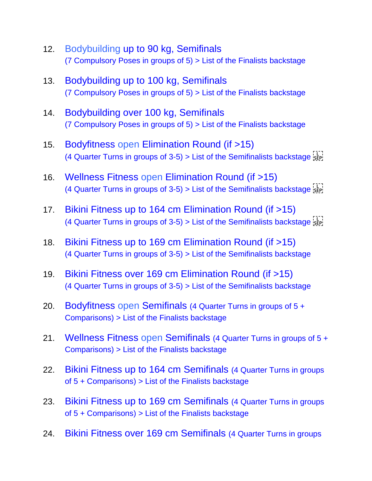- 12. Bodybuilding up to 90 kg, Semifinals (7 Compulsory Poses in groups of 5) > List of the Finalists backstage
- 13. Bodybuilding up to 100 kg, Semifinals (7 Compulsory Poses in groups of 5) > List of the Finalists backstage
- 14. Bodybuilding over 100 kg, Semifinals (7 Compulsory Poses in groups of 5) > List of the Finalists backstage
- 15. Bodyfitness open Elimination Round (if >15) (4 Quarter Turns in groups of 3-5) > List of the Semifinalists backstage  $s_{\text{RF}}$
- 16. Wellness Fitness open Elimination Round (if >15) (4 Quarter Turns in groups of 3-5) > List of the Semifinalists backstage  $\frac{1}{2}$
- 17. Bikini Fitness up to 164 cm Elimination Round (if >15) (4 Quarter Turns in groups of 3-5) > List of the Semifinalists backstage  $s_{\text{left}}$
- 18. Bikini Fitness up to 169 cm Elimination Round (if >15) (4 Quarter Turns in groups of 3-5) > List of the Semifinalists backstage
- 19. Bikini Fitness over 169 cm Elimination Round (if >15) (4 Quarter Turns in groups of 3-5) > List of the Semifinalists backstage
- 20. Bodyfitness open Semifinals (4 Quarter Turns in groups of 5 + Comparisons) > List of the Finalists backstage
- 21. Wellness Fitness open Semifinals (4 Quarter Turns in groups of 5 + Comparisons) > List of the Finalists backstage
- 22. Bikini Fitness up to 164 cm Semifinals (4 Quarter Turns in groups of 5 + Comparisons) > List of the Finalists backstage
- 23. Bikini Fitness up to 169 cm Semifinals (4 Quarter Turns in groups of 5 + Comparisons) > List of the Finalists backstage
- 24. Bikini Fitness over 169 cm Semifinals (4 Quarter Turns in groups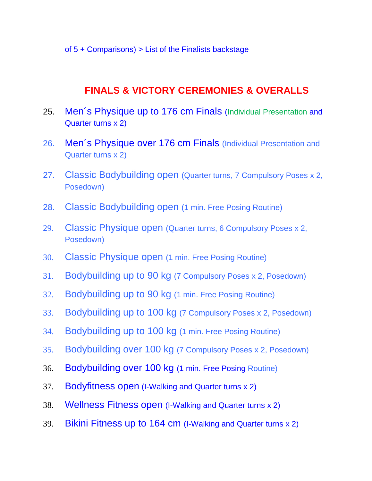of  $5 +$  Comparisons)  $>$  List of the Finalists backstage

#### **FINALS & VICTORY CEREMONIES & OVERALLS**

- 25. Men's Physique up to 176 cm Finals (Individual Presentation and Quarter turns x 2)
- 26. Men's Physique over 176 cm Finals (Individual Presentation and Quarter turns x 2)
- 27. Classic Bodybuilding open (Quarter turns, 7 Compulsory Poses x 2, Posedown)
- 28. Classic Bodybuilding open (1 min. Free Posing Routine)
- 29. Classic Physique open (Quarter turns, 6 Compulsory Poses x 2, Posedown)
- 30. Classic Physique open (1 min. Free Posing Routine)
- 31. Bodybuilding up to 90 kg (7 Compulsory Poses x 2, Posedown)
- 32. Bodybuilding up to 90 kg (1 min. Free Posing Routine)
- 33. Bodybuilding up to 100 kg (7 Compulsory Poses x 2, Posedown)
- 34. Bodybuilding up to 100 kg (1 min. Free Posing Routine)
- 35. Bodybuilding over 100 kg (7 Compulsory Poses x 2, Posedown)
- 36. Bodybuilding over 100 kg (1 min. Free Posing Routine)
- 37. Bodyfitness open (I-Walking and Quarter turns x 2)
- 38. Wellness Fitness open (I-Walking and Quarter turns x 2)
- 39. Bikini Fitness up to 164 cm (I-Walking and Quarter turns x 2)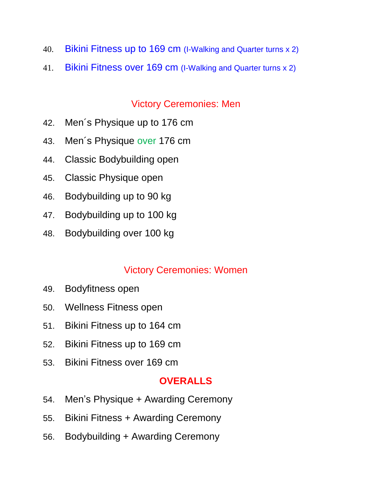- 40. Bikini Fitness up to 169 cm (I-Walking and Quarter turns x 2)
- 41. Bikini Fitness over 169 cm (I-Walking and Quarter turns x 2)

## Victory Ceremonies: Men

- 42. Men´s Physique up to 176 cm
- 43. Men´s Physique over 176 cm
- 44. Classic Bodybuilding open
- 45. Classic Physique open
- 46. Bodybuilding up to 90 kg
- 47. Bodybuilding up to 100 kg
- 48. Bodybuilding over 100 kg

## Victory Ceremonies: Women

- 49. Bodyfitness open
- 50. Wellness Fitness open
- 51. Bikini Fitness up to 164 cm
- 52. Bikini Fitness up to 169 cm
- 53. Bikini Fitness over 169 cm

## **OVERALLS**

- 54. Men's Physique + Awarding Ceremony
- 55. Bikini Fitness + Awarding Ceremony
- 56. Bodybuilding + Awarding Ceremony